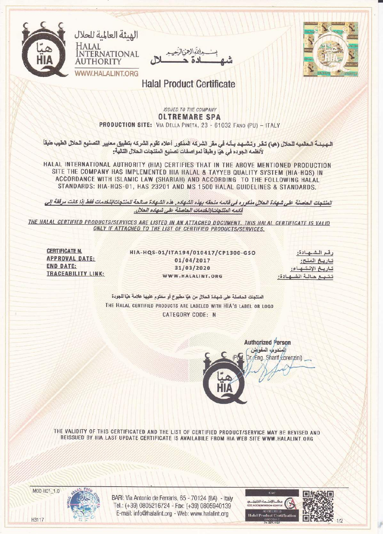





**Halal Product Certificate** 

## **ISSUED TO THE COMPANY OLTREMARE SPA** PRODUCTION SITE: VIA DELLA PINETA, 23 - 61032 FANO (PU) - ITALY

الـهـيـنــة الــعالميه للحلال (هيا) تـقـر وتـشـهـد بـأنه في مقر الشركـه المذكور أعلاه تقوم الشركه بتطبيق معايير التصنيع الحلال الطيب طبقاً لأنظمه الجوده في هيّا وطبقاً لمواصفات تصنيع المنتجات الحلال التالية:

HALAL INTERNATIONAL AUTHORITY (HIA) CERTIFIES THAT IN THE ABOVE MENTIONED PRODUCTION SITE THE COMPANY HAS IMPLEMENTED HIA HALAL & TAYYEB QUALITY SYSTEM (HIA-HQS) IN ACCORDANCE WITH ISLAMIC LAW (SHARIAH) AND ACCORDING TO THE FOLLOWING HALAL STANDARDS: HIA-HQS-01, HAS 23201 AND MS 1500 HALAL GUIDELINES & STANDARDS.

المنتجات الحاصلة على شهادة الحلال منكوره في قائمه ملحقه بهذه الشهاده. هذه الشهادة صالحة للمنتجات/للخدمات فقط إذا كانت مرفقة إلى قانمه المنتجات/الخدمات الحاصلة على شهاده الحلال.

THE HALAL CERTIFIED PRODUCTS/SERVICES ARE LISTED IN AN ATTACHED DOCUMENT. THIS HALAL CERTIFICATE IS VALID ONLY IF ATTACHED TO THE LIST OF CERTIFIED PRODUCTS/SERVICES.

**CERTIFICATE N. APPROVAL DATE: END DATE:** TRACEABILITY LINK:

HIA-HQS-01/ITA194/010417/CP1300-GSO  $01/04/2017$ 31/03/2020 WWW.HALALINT.ORG

رقم الشهادة: تباريخ المنح: تباريخ الانتهاء: تتبع حالة الشهادة:

المنتجات الحاصلة على شهادة الحلال من هيا مطبوع أو مختوم عليها علامة هيا للجودة THE HALAL CERTIFIED PRODUCTS ARE LABELED WITH HIA'S LABEL OR LOGO **CATEGORY CODE: N** 



**Authorized Person** المندوب المفوض Dr. Eng. Sharif Corenzini)

THE VALIDITY OF THIS CERTIFICATED AND THE LIST OF CERTIFIED PRODUCT/SERVICE MAY BE REVISED AND REISSUED BY HIA LAST UPDATE CERTIFICATE IS AVAILABILE FROM HIA WEB SITE WWW.HALALINT.ORG

MOD HC1\_1.0

H3117

BARI: Via Antonio de Ferraris, 65 - 70124 (BA) - Italy Tel.: (+39) 0805216724 - Fax: (+39) 0805940139 E-mail: info@halalint.org - Web: www.halalint.org